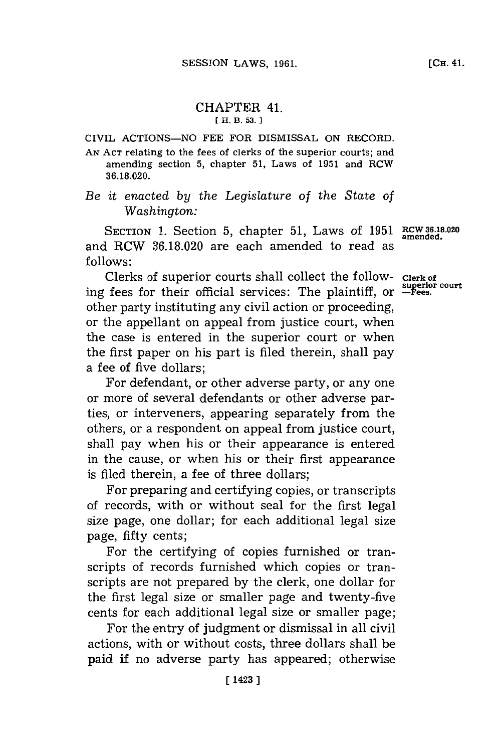## CHAPTER 41. **[H. B. 53. 1**

CIVIL **ACTIONS-NO FEE** FOR DISMISSAL **ON** RECORD.

**AN ACT** relating to the fees of clerks of the superior courts; and amending section **5,** chapter **51,** Laws of **1951** and RCW **36.18.020.**

*Be it enacted by the Legislature* of *the State of* Washington:

SECTION **1.** Section **5,** chapter **51,** Laws of **1951** and RCW **36.18.020** are each amended to read as **follows:**

Clerks of superior courts shall collect the following fees for their official services: The plaintiff, or **superior court -Fees.** other party instituting any civil action or proceeding, or the appellant on appeal from justice court, when the case is entered in the superior court or when the first paper on his part is filed therein, shall pay a fee of five dollars;

For defendant, or other adverse party, or any one or more of several defendants or other adverse parties, or interveners, appearing separately from the others, or a respondent on appeal from justice court, shall pay when his or their appearance is entered in the cause, or when his or their first appearance is filed therein, a fee of three dollars;

For preparing and certifying copies, or transcripts of records, with or without seal for the first legal size page, one dollar; for each additional legal size page, fifty cents;

For the certifying of copies furnished or transcripts of records furnished which copies or transcripts are not prepared **by** the clerk, one dollar for the first legal size or smaller page and twenty-five cents for each additional legal size or smaller page;

For the entry of judgment or dismissal in all civil actions, with or without costs, three dollars shall be paid **if** no adverse party has appeared; otherwise

**RCW 36.18.020 amended.**

**Clerk of**